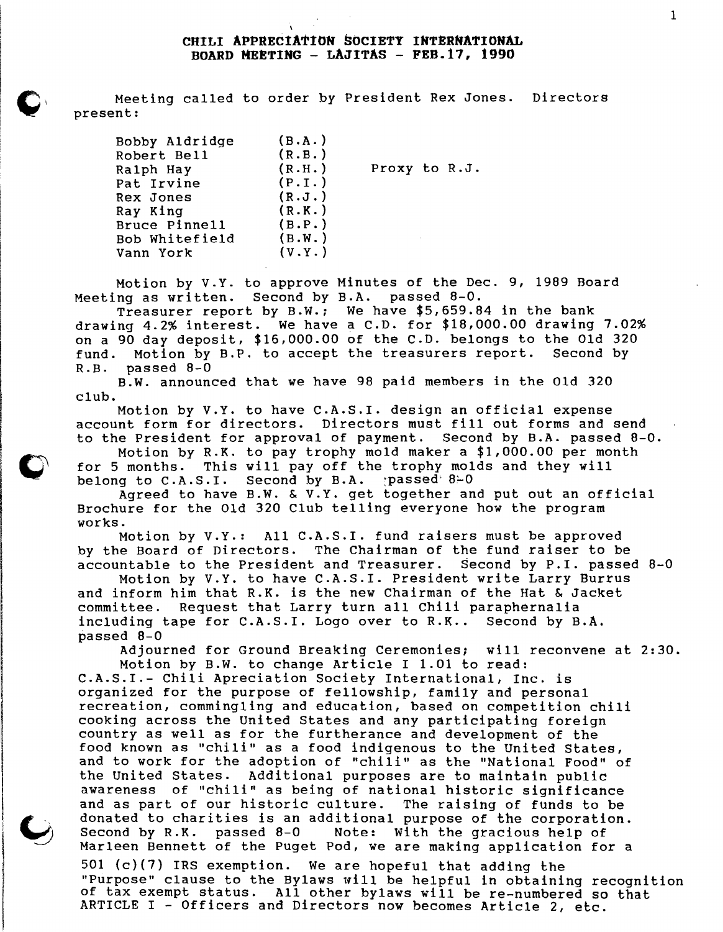## **CHILI APPRECIATION SOCIETY INTERNATIONAL BOARD MEETING - LAJITAS - FEB.17, 1990**

Meeting called to order by President Rex Jones. Directors present:

| Bobby Aldridge | (B.A.) |               |
|----------------|--------|---------------|
| Robert Bell    | (R.B.) |               |
| Ralph Hay      | (R.H.) | Proxy to R.J. |
| Pat Irvine     | (P.I.) |               |
| Rex Jones      | (R.J.) |               |
| Ray King       | (R.K.) |               |
| Bruce Pinnell  | (B.P.) |               |
| Bob Whitefield | (B.W.) |               |
| Vann York      | (V.Y.) |               |

Motion by V.Y. to approve Minutes of the Dec. 9, 1989 Board Meeting as written. Second by B.A. passed 8-0.

Treasurer report by B.W.; We have \$5,659.84 in the bank drawing 4.2% interest. We have a C.D. for \$18,000.00 drawing 7.02% on a 90 day deposit, \$16,000.00 of the C.D. belongs to the Old 320<br>fund. Motion by B.P. to accept the treasurers report. Second by fund. Motion by B.P. to accept the treasurers report. R.B. passed 8-0

B.W. announced that we have 98 paid members in the Old 320 club.

Motion by V.Y. to have C.A.S.I. design an official expense account form for directors. Directors must fill out forms and send to the President for approval of payment. Second by B.A. passed 8-0.

Motion by R.K. to pay trophy mold maker a \$1,000.00 per month<br>for 5 months. This will pay off the trophy molds and they will This will pay off the trophy molds and they will belong to  $C.A.S.I.$  Second by  $B.A.$  passed  $8-0$ 

Agreed to have B.W. & V.Y. get together and put out an official Brochure for the Old 320 Club telling everyone how the program works.

.<br>Motion by V.Y.: All C.A.S.I. fund raisers must be approved by the Board of Directors. The Chairman of the fund raiser to be accountable to the President and Treasurer. Second by P.I. passed 8-0

Motion by V.Y. to have C.A.S.I. President write Larry Burrus and inform him that R.K. is the new Chairman of the Hat & Jacket committee. Request that Larry turn all Chili paraphernalia including tape for C.A.S.I. Logo over to R.K.. Second by B.A. passed 8-0

Adjourned for Ground Breaking Ceremonies; will reconvene at 2:30. Motion by B.W. to change Article I 1.01 to read:

C.A.S.I.- Chili Apreciation Society International, Inc. is organized for the purpose of fellowship, family and personal recreation, commingling and education, based on competition chili cooking across the united States and any participating foreign country as well as for the furtherance and development of the food known as "chili" as a food indigenous to the United States, and to work for the adoption of "chili" as the "National Food" of the United States. Additional purposes are to maintain public awareness of "chili" as being of national historic significance<br>and as part of our historic culture. The raising of funds to be donated to charities is an additional purpose of the corporation.<br>Second by R.K. passed 8-0 Note: With the gracious help of Second by R.K. passed 8-0 Note: With the gracious help of<br>Marleen Bennett of the Puget Pod, we are making application for a<br>501 (c)(7) IRS exemption. We are hopeful that adding the

501 (c)(7) IRS exemption. We are hopeful that adding the<br>"Purpose" clause to the Bylaws will be helpful in obtaining recognition<br>of tax exempt status. All other bylaws will be re-numbered so that of tax exempt status. All other bylaws will be re-numbered so that ARTICLE I - Officers and Directors now becomes Article 2, etc.